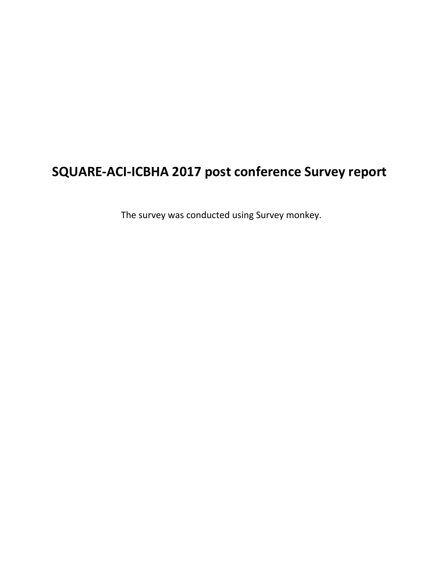# **SQUARE-ACI-ICBHA 2017 post conference Survey report**

The survey was conducted using Survey monkey.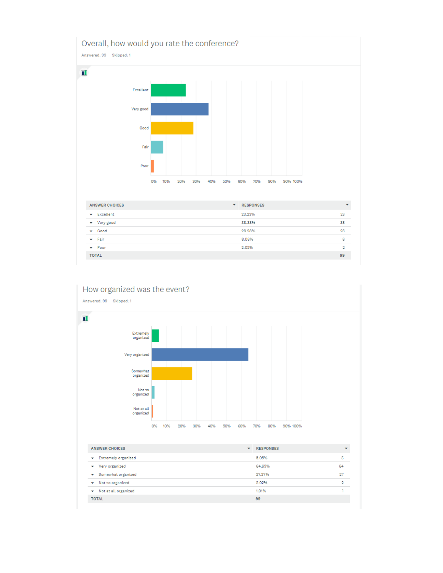



| <b>ANSWER CHOICES</b>           | ۰ | <b>RESPONSES</b> | $\overline{\phantom{a}}$ |
|---------------------------------|---|------------------|--------------------------|
| <b>Extremely organized</b><br>۰ |   | 5.05%            | Б                        |
| Very organized<br>۰             |   | 64.65%           | 64                       |
| Somewhat organized              |   | 27.27%           | 27                       |
| Not so organized<br>▼           |   | 2.02%            | 2                        |
| Not at all organized<br>۰       |   | 1.01%            |                          |
| <b>TOTAL</b>                    |   | 99               |                          |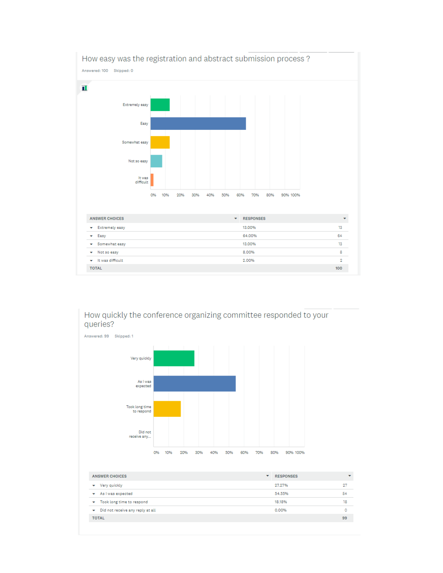

How quickly the conference organizing committee responded to your queries?



| <b>ANSWER CHOICES</b>                         | <b>RESPONSES</b><br>▼ | $\overline{}$ |
|-----------------------------------------------|-----------------------|---------------|
| Very quickly<br>▼                             | 27.27%                | 27            |
| As I was expected<br>$\overline{\phantom{a}}$ | 54.55%                | 54            |
| Took long time to respond                     | 18.18%                | 18            |
| Did not receive any reply at all<br>▼         | 0.00%                 | ٥             |
| <b>TOTAL</b>                                  |                       | 99            |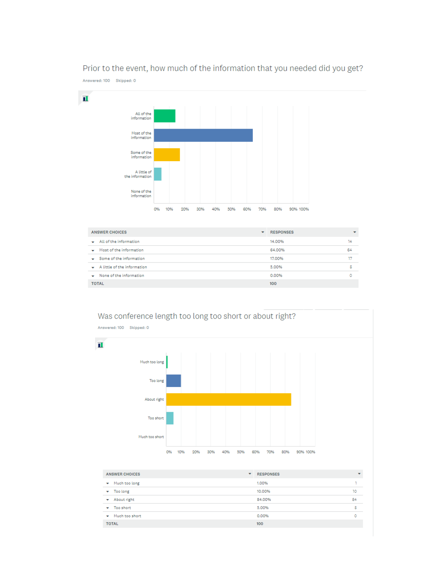

#### Prior to the event, how much of the information that you needed did you get?

| <b>ANSWER CHOICES</b>                 | ▼ | <b>RESPONSES</b> | ٠  |
|---------------------------------------|---|------------------|----|
| $\bullet$ All of the information      |   | 14.00%           | 14 |
| $\rightarrow$ Most of the information |   | 64.00%           | 64 |
| $\bullet$ Some of the information     |   | 17.00%           | 17 |
| $\bullet$ A little of the information |   | 5.00%            | 5  |
| $\bullet$ None of the information     |   | 0.00%            | ٥  |
| <b>TOTAL</b>                          |   | 100              |    |



| <b>ANSWER CHOICES</b>                    | <b>RESPONSES</b><br>▼ | ۰  |
|------------------------------------------|-----------------------|----|
| Much too long<br>$\overline{\mathbf{v}}$ | 1.00%                 |    |
| Too long<br>٠                            | 10.00%                | 10 |
| About right<br>▼                         | 84.00%                | 84 |
| Too short<br>۰                           | 5.00%                 | 5  |
| Much too short<br>▼                      | 0.00%                 |    |
| <b>TOTAL</b>                             | 100                   |    |

Was conference length too long too short or about right?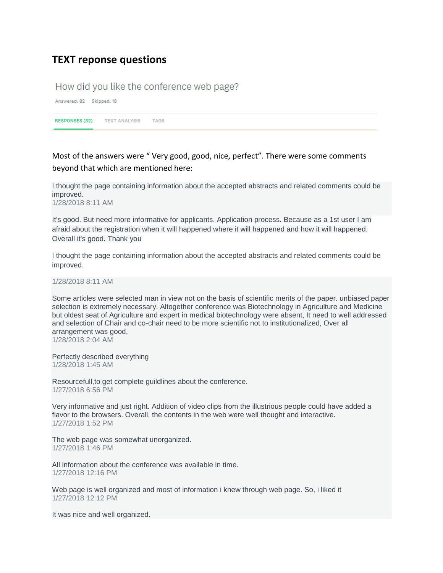## **TEXT reponse questions**

#### How did you like the conference web page?

Answered: 82 Skipped: 18

RESPONSES (82) TEXT ANALYSIS TAGS

Most of the answers were " Very good, good, nice, perfect". There were some comments beyond that which are mentioned here:

I thought the page containing information about the accepted abstracts and related comments could be improved. 1/28/2018 8:11 AM

It's good. But need more informative for applicants. Application process. Because as a 1st user I am afraid about the registration when it will happened where it will happened and how it will happened. Overall it's good. Thank you

I thought the page containing information about the accepted abstracts and related comments could be improved.

1/28/2018 8:11 AM

Some articles were selected man in view not on the basis of scientific merits of the paper. unbiased paper selection is extremely necessary. Altogether conference was Biotechnology in Agriculture and Medicine but oldest seat of Agriculture and expert in medical biotechnology were absent, It need to well addressed and selection of Chair and co-chair need to be more scientific not to institutionalized, Over all arrangement was good, 1/28/2018 2:04 AM

Perfectly described everything 1/28/2018 1:45 AM

Resourcefull,to get complete guildlines about the conference. 1/27/2018 6:56 PM

Very informative and just right. Addition of video clips from the illustrious people could have added a flavor to the browsers. Overall, the contents in the web were well thought and interactive. 1/27/2018 1:52 PM

The web page was somewhat unorganized. 1/27/2018 1:46 PM

All information about the conference was available in time. 1/27/2018 12:16 PM

Web page is well organized and most of information i knew through web page. So, i liked it 1/27/2018 12:12 PM

It was nice and well organized.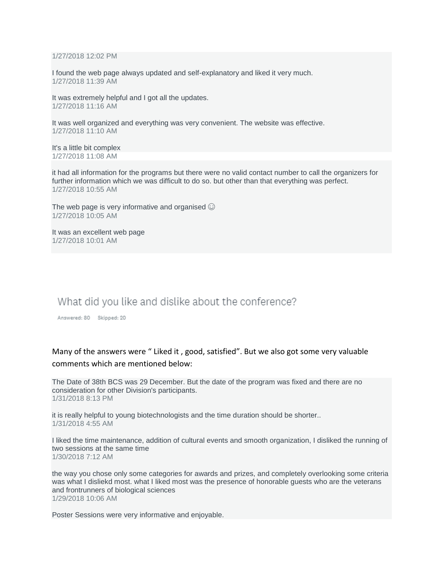1/27/2018 12:02 PM

I found the web page always updated and self-explanatory and liked it very much. 1/27/2018 11:39 AM

It was extremely helpful and I got all the updates. 1/27/2018 11:16 AM

It was well organized and everything was very convenient. The website was effective. 1/27/2018 11:10 AM

It's a little bit complex 1/27/2018 11:08 AM

it had all information for the programs but there were no valid contact number to call the organizers for further information which we was difficult to do so. but other than that everything was perfect. 1/27/2018 10:55 AM

The web page is very informative and organised  $\odot$ 1/27/2018 10:05 AM

It was an excellent web page 1/27/2018 10:01 AM

### What did you like and dislike about the conference?

Answered: 80 Skipped: 20

#### Many of the answers were " Liked it , good, satisfied". But we also got some very valuable comments which are mentioned below:

The Date of 38th BCS was 29 December. But the date of the program was fixed and there are no consideration for other Division's participants. 1/31/2018 8:13 PM

it is really helpful to young biotechnologists and the time duration should be shorter.. 1/31/2018 4:55 AM

I liked the time maintenance, addition of cultural events and smooth organization, I disliked the running of two sessions at the same time 1/30/2018 7:12 AM

the way you chose only some categories for awards and prizes, and completely overlooking some criteria was what I disliekd most. what I liked most was the presence of honorable guests who are the veterans and frontrunners of biological sciences 1/29/2018 10:06 AM

Poster Sessions were very informative and enjoyable.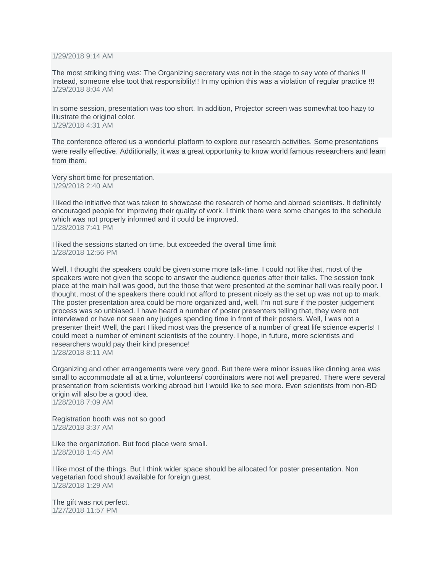1/29/2018 9:14 AM

The most striking thing was: The Organizing secretary was not in the stage to say vote of thanks !! Instead, someone else toot that responsiblity!! In my opinion this was a violation of regular practice !!! 1/29/2018 8:04 AM

In some session, presentation was too short. In addition, Projector screen was somewhat too hazy to illustrate the original color. 1/29/2018 4:31 AM

The conference offered us a wonderful platform to explore our research activities. Some presentations were really effective. Additionally, it was a great opportunity to know world famous researchers and learn from them.

Very short time for presentation. 1/29/2018 2:40 AM

I liked the initiative that was taken to showcase the research of home and abroad scientists. It definitely encouraged people for improving their quality of work. I think there were some changes to the schedule which was not properly informed and it could be improved. 1/28/2018 7:41 PM

I liked the sessions started on time, but exceeded the overall time limit 1/28/2018 12:56 PM

Well, I thought the speakers could be given some more talk-time. I could not like that, most of the speakers were not given the scope to answer the audience queries after their talks. The session took place at the main hall was good, but the those that were presented at the seminar hall was really poor. I thought, most of the speakers there could not afford to present nicely as the set up was not up to mark. The poster presentation area could be more organized and, well, I'm not sure if the poster judgement process was so unbiased. I have heard a number of poster presenters telling that, they were not interviewed or have not seen any judges spending time in front of their posters. Well, I was not a presenter their! Well, the part I liked most was the presence of a number of great life science experts! I could meet a number of eminent scientists of the country. I hope, in future, more scientists and researchers would pay their kind presence! 1/28/2018 8:11 AM

Organizing and other arrangements were very good. But there were minor issues like dinning area was small to accommodate all at a time, volunteers/ coordinators were not well prepared. There were several presentation from scientists working abroad but I would like to see more. Even scientists from non-BD origin will also be a good idea. 1/28/2018 7:09 AM

Registration booth was not so good 1/28/2018 3:37 AM

Like the organization. But food place were small. 1/28/2018 1:45 AM

I like most of the things. But I think wider space should be allocated for poster presentation. Non vegetarian food should available for foreign guest. 1/28/2018 1:29 AM

The gift was not perfect. 1/27/2018 11:57 PM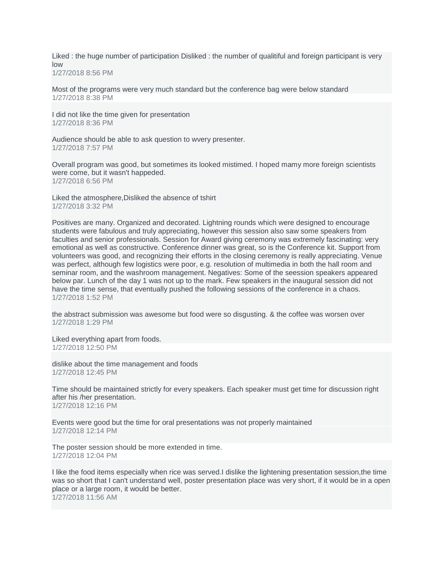Liked : the huge number of participation Disliked : the number of qualitiful and foreign participant is very low

1/27/2018 8:56 PM

Most of the programs were very much standard but the conference bag were below standard 1/27/2018 8:38 PM

I did not like the time given for presentation 1/27/2018 8:36 PM

Audience should be able to ask question to wvery presenter. 1/27/2018 7:57 PM

Overall program was good, but sometimes its looked mistimed. I hoped mamy more foreign scientists were come, but it wasn't happeded. 1/27/2018 6:56 PM

Liked the atmosphere,Disliked the absence of tshirt 1/27/2018 3:32 PM

Positives are many. Organized and decorated. Lightning rounds which were designed to encourage students were fabulous and truly appreciating, however this session also saw some speakers from faculties and senior professionals. Session for Award giving ceremony was extremely fascinating: very emotional as well as constructive. Conference dinner was great, so is the Conference kit. Support from volunteers was good, and recognizing their efforts in the closing ceremony is really appreciating. Venue was perfect, although few logistics were poor, e.g. resolution of multimedia in both the hall room and seminar room, and the washroom management. Negatives: Some of the seession speakers appeared below par. Lunch of the day 1 was not up to the mark. Few speakers in the inaugural session did not have the time sense, that eventually pushed the following sessions of the conference in a chaos. 1/27/2018 1:52 PM

the abstract submission was awesome but food were so disgusting. & the coffee was worsen over 1/27/2018 1:29 PM

Liked everything apart from foods. 1/27/2018 12:50 PM

dislike about the time management and foods 1/27/2018 12:45 PM

Time should be maintained strictly for every speakers. Each speaker must get time for discussion right after his /her presentation. 1/27/2018 12:16 PM

Events were good but the time for oral presentations was not properly maintained 1/27/2018 12:14 PM

The poster session should be more extended in time. 1/27/2018 12:04 PM

I like the food items especially when rice was served.I dislike the lightening presentation session,the time was so short that I can't understand well, poster presentation place was very short, if it would be in a open place or a large room, it would be better. 1/27/2018 11:56 AM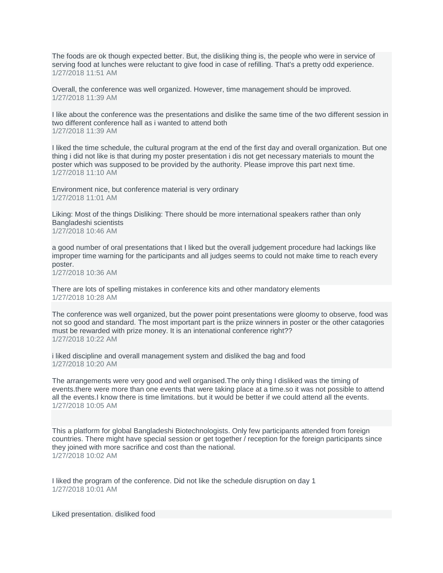The foods are ok though expected better. But, the disliking thing is, the people who were in service of serving food at lunches were reluctant to give food in case of refilling. That's a pretty odd experience. 1/27/2018 11:51 AM

Overall, the conference was well organized. However, time management should be improved. 1/27/2018 11:39 AM

I like about the conference was the presentations and dislike the same time of the two different session in two different conference hall as i wanted to attend both 1/27/2018 11:39 AM

I liked the time schedule, the cultural program at the end of the first day and overall organization. But one thing i did not like is that during my poster presentation i dis not get necessary materials to mount the poster which was supposed to be provided by the authority. Please improve this part next time. 1/27/2018 11:10 AM

Environment nice, but conference material is very ordinary 1/27/2018 11:01 AM

Liking: Most of the things Disliking: There should be more international speakers rather than only Bangladeshi scientists 1/27/2018 10:46 AM

a good number of oral presentations that I liked but the overall judgement procedure had lackings like improper time warning for the participants and all judges seems to could not make time to reach every poster. 1/27/2018 10:36 AM

There are lots of spelling mistakes in conference kits and other mandatory elements 1/27/2018 10:28 AM

The conference was well organized, but the power point presentations were gloomy to observe, food was not so good and standard. The most important part is the priize winners in poster or the other catagories must be rewarded with prize money. It is an intenational conference right?? 1/27/2018 10:22 AM

i liked discipline and overall management system and disliked the bag and food 1/27/2018 10:20 AM

The arrangements were very good and well organised.The only thing I disliked was the timing of events.there were more than one events that were taking place at a time.so it was not possible to attend all the events.I know there is time limitations. but it would be better if we could attend all the events. 1/27/2018 10:05 AM

This a platform for global Bangladeshi Biotechnologists. Only few participants attended from foreign countries. There might have special session or get together / reception for the foreign participants since they joined with more sacrifice and cost than the national. 1/27/2018 10:02 AM

I liked the program of the conference. Did not like the schedule disruption on day 1 1/27/2018 10:01 AM

Liked presentation. disliked food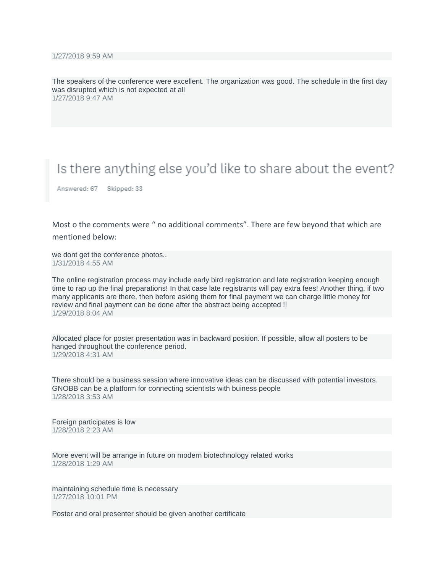The speakers of the conference were excellent. The organization was good. The schedule in the first day was disrupted which is not expected at all 1/27/2018 9:47 AM

# Is there anything else you'd like to share about the event?

Answered: 67 Skipped: 33

Most o the comments were " no additional comments". There are few beyond that which are mentioned below:

we dont get the conference photos.. 1/31/2018 4:55 AM

The online registration process may include early bird registration and late registration keeping enough time to rap up the final preparations! In that case late registrants will pay extra fees! Another thing, if two many applicants are there, then before asking them for final payment we can charge little money for review and final payment can be done after the abstract being accepted !! 1/29/2018 8:04 AM

Allocated place for poster presentation was in backward position. If possible, allow all posters to be hanged throughout the conference period. 1/29/2018 4:31 AM

There should be a business session where innovative ideas can be discussed with potential investors. GNOBB can be a platform for connecting scientists with buiness people 1/28/2018 3:53 AM

Foreign participates is low 1/28/2018 2:23 AM

More event will be arrange in future on modern biotechnology related works 1/28/2018 1:29 AM

maintaining schedule time is necessary 1/27/2018 10:01 PM

Poster and oral presenter should be given another certificate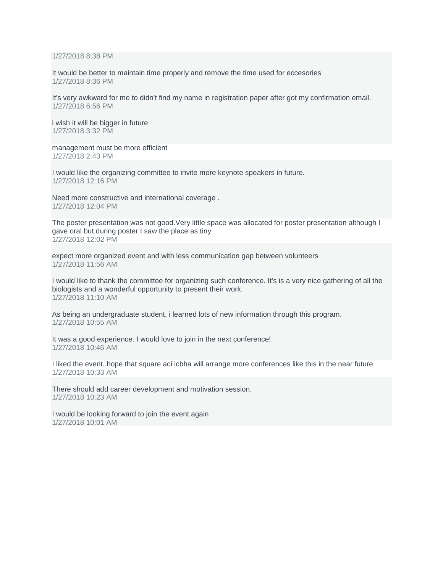1/27/2018 8:38 PM

It would be better to maintain time properly and remove the time used for eccesories 1/27/2018 8:36 PM

It's very awkward for me to didn't find my name in registration paper after got my confirmation email. 1/27/2018 6:56 PM

i wish it will be bigger in future 1/27/2018 3:32 PM

management must be more efficient 1/27/2018 2:43 PM

I would like the organizing committee to invite more keynote speakers in future. 1/27/2018 12:16 PM

Need more constructive and international coverage . 1/27/2018 12:04 PM

The poster presentation was not good.Very little space was allocated for poster presentation although I gave oral but during poster I saw the place as tiny 1/27/2018 12:02 PM

expect more organized event and with less communication gap between volunteers 1/27/2018 11:56 AM

I would like to thank the committee for organizing such conference. It's is a very nice gathering of all the biologists and a wonderful opportunity to present their work. 1/27/2018 11:10 AM

As being an undergraduate student, i learned lots of new information through this program. 1/27/2018 10:55 AM

It was a good experience. I would love to join in the next conference! 1/27/2018 10:46 AM

I liked the event..hope that square aci icbha will arrange more conferences like this in the near future 1/27/2018 10:33 AM

There should add career development and motivation session. 1/27/2018 10:23 AM

I would be looking forward to join the event again 1/27/2018 10:01 AM